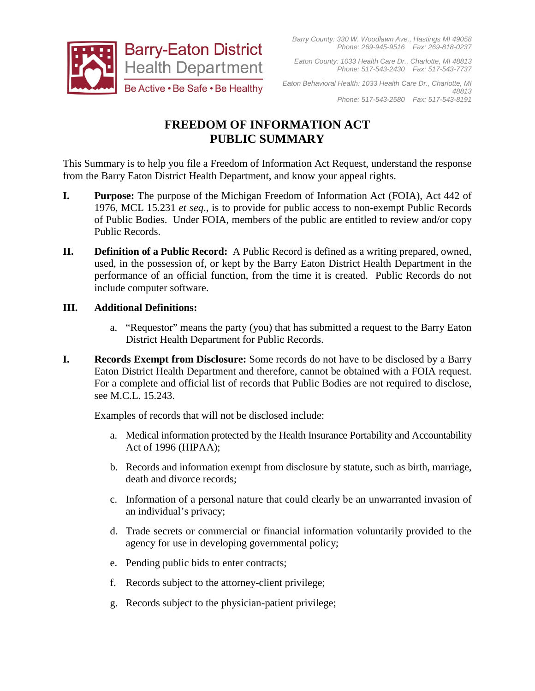

*Eaton County: 1033 Health Care Dr., Charlotte, MI 48813 Phone: 517-543-2430 Fax: 517-543-7737*

*Eaton Behavioral Health: 1033 Health Care Dr., Charlotte, MI 48813 Phone: 517-543-2580 Fax: 517-543-8191*

# **FREEDOM OF INFORMATION ACT PUBLIC SUMMARY**

This Summary is to help you file a Freedom of Information Act Request, understand the response from the Barry Eaton District Health Department, and know your appeal rights.

- **I. Purpose:** The purpose of the Michigan Freedom of Information Act (FOIA), Act 442 of 1976, MCL 15.231 *et seq*., is to provide for public access to non-exempt Public Records of Public Bodies. Under FOIA, members of the public are entitled to review and/or copy Public Records.
- **II. Definition of a Public Record:** A Public Record is defined as a writing prepared, owned, used, in the possession of, or kept by the Barry Eaton District Health Department in the performance of an official function, from the time it is created. Public Records do not include computer software.

### **III. Additional Definitions:**

- a. "Requestor" means the party (you) that has submitted a request to the Barry Eaton District Health Department for Public Records.
- **I. Records Exempt from Disclosure:** Some records do not have to be disclosed by a Barry Eaton District Health Department and therefore, cannot be obtained with a FOIA request. For a complete and official list of records that Public Bodies are not required to disclose, see M.C.L. 15.243.

Examples of records that will not be disclosed include:

- a. Medical information protected by the Health Insurance Portability and Accountability Act of 1996 (HIPAA);
- b. Records and information exempt from disclosure by statute, such as birth, marriage, death and divorce records;
- c. Information of a personal nature that could clearly be an unwarranted invasion of an individual's privacy;
- d. Trade secrets or commercial or financial information voluntarily provided to the agency for use in developing governmental policy;
- e. Pending public bids to enter contracts;
- f. Records subject to the attorney-client privilege;
- g. Records subject to the physician-patient privilege;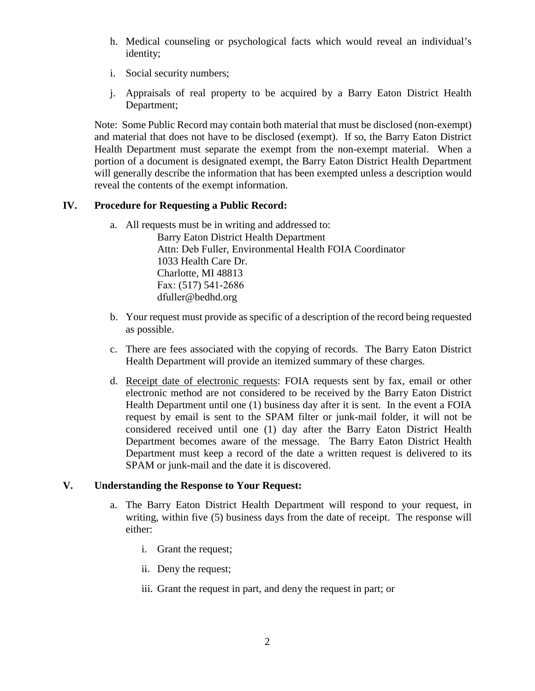- h. Medical counseling or psychological facts which would reveal an individual's identity;
- i. Social security numbers;
- j. Appraisals of real property to be acquired by a Barry Eaton District Health Department;

Note: Some Public Record may contain both material that must be disclosed (non-exempt) and material that does not have to be disclosed (exempt). If so, the Barry Eaton District Health Department must separate the exempt from the non-exempt material. When a portion of a document is designated exempt, the Barry Eaton District Health Department will generally describe the information that has been exempted unless a description would reveal the contents of the exempt information.

#### **IV. Procedure for Requesting a Public Record:**

a. All requests must be in writing and addressed to:

Barry Eaton District Health Department Attn: Deb Fuller, Environmental Health FOIA Coordinator 1033 Health Care Dr. Charlotte, MI 48813 Fax: (517) 541-2686 dfuller@bedhd.org

- b. Your request must provide as specific of a description of the record being requested as possible.
- c. There are fees associated with the copying of records. The Barry Eaton District Health Department will provide an itemized summary of these charges.
- d. Receipt date of electronic requests: FOIA requests sent by fax, email or other electronic method are not considered to be received by the Barry Eaton District Health Department until one (1) business day after it is sent. In the event a FOIA request by email is sent to the SPAM filter or junk-mail folder, it will not be considered received until one (1) day after the Barry Eaton District Health Department becomes aware of the message. The Barry Eaton District Health Department must keep a record of the date a written request is delivered to its SPAM or junk-mail and the date it is discovered.

#### **V. Understanding the Response to Your Request:**

- a. The Barry Eaton District Health Department will respond to your request, in writing, within five (5) business days from the date of receipt. The response will either:
	- i. Grant the request;
	- ii. Deny the request;
	- iii. Grant the request in part, and deny the request in part; or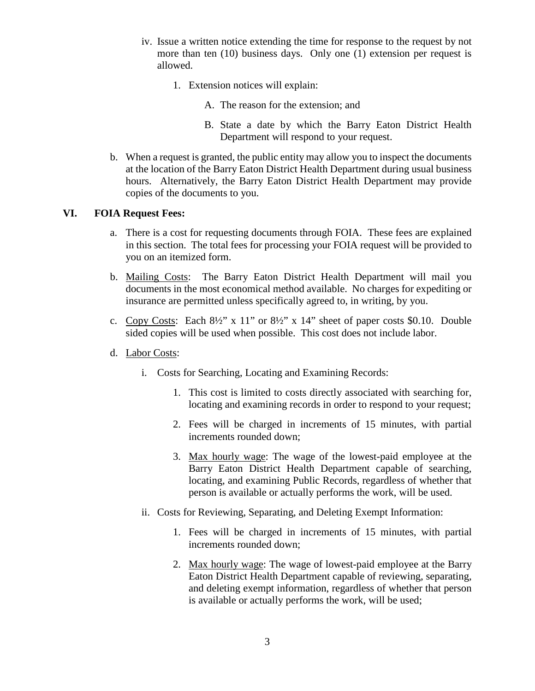- iv. Issue a written notice extending the time for response to the request by not more than ten (10) business days. Only one (1) extension per request is allowed.
	- 1. Extension notices will explain:
		- A. The reason for the extension; and
		- B. State a date by which the Barry Eaton District Health Department will respond to your request.
- b. When a request is granted, the public entity may allow you to inspect the documents at the location of the Barry Eaton District Health Department during usual business hours. Alternatively, the Barry Eaton District Health Department may provide copies of the documents to you.

#### **VI. FOIA Request Fees:**

- a. There is a cost for requesting documents through FOIA. These fees are explained in this section. The total fees for processing your FOIA request will be provided to you on an itemized form.
- b. Mailing Costs: The Barry Eaton District Health Department will mail you documents in the most economical method available. No charges for expediting or insurance are permitted unless specifically agreed to, in writing, by you.
- c. Copy Costs: Each 8½" x 11" or 8½" x 14" sheet of paper costs \$0.10. Double sided copies will be used when possible. This cost does not include labor.
- d. Labor Costs:
	- i. Costs for Searching, Locating and Examining Records:
		- 1. This cost is limited to costs directly associated with searching for, locating and examining records in order to respond to your request;
		- 2. Fees will be charged in increments of 15 minutes, with partial increments rounded down;
		- 3. Max hourly wage: The wage of the lowest-paid employee at the Barry Eaton District Health Department capable of searching, locating, and examining Public Records, regardless of whether that person is available or actually performs the work, will be used.
	- ii. Costs for Reviewing, Separating, and Deleting Exempt Information:
		- 1. Fees will be charged in increments of 15 minutes, with partial increments rounded down;
		- 2. Max hourly wage: The wage of lowest-paid employee at the Barry Eaton District Health Department capable of reviewing, separating, and deleting exempt information, regardless of whether that person is available or actually performs the work, will be used;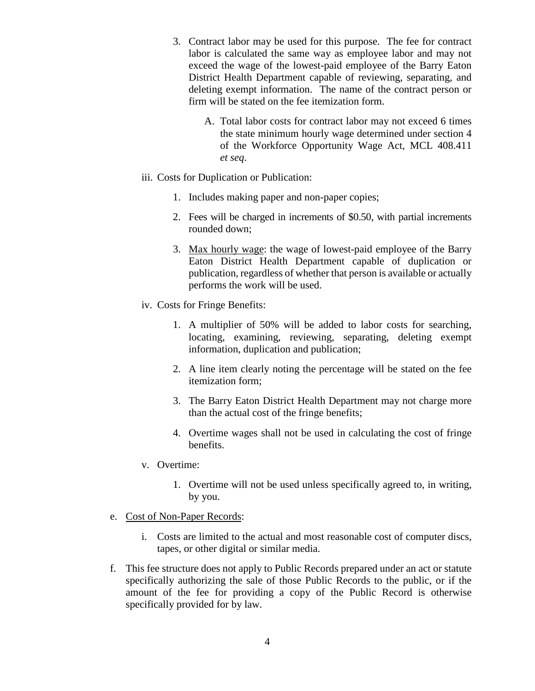- 3. Contract labor may be used for this purpose. The fee for contract labor is calculated the same way as employee labor and may not exceed the wage of the lowest-paid employee of the Barry Eaton District Health Department capable of reviewing, separating, and deleting exempt information. The name of the contract person or firm will be stated on the fee itemization form.
	- A. Total labor costs for contract labor may not exceed 6 times the state minimum hourly wage determined under section 4 of the Workforce Opportunity Wage Act, MCL 408.411 *et seq*.
- iii. Costs for Duplication or Publication:
	- 1. Includes making paper and non-paper copies;
	- 2. Fees will be charged in increments of \$0.50, with partial increments rounded down;
	- 3. Max hourly wage: the wage of lowest-paid employee of the Barry Eaton District Health Department capable of duplication or publication, regardless of whether that person is available or actually performs the work will be used.
- iv. Costs for Fringe Benefits:
	- 1. A multiplier of 50% will be added to labor costs for searching, locating, examining, reviewing, separating, deleting exempt information, duplication and publication;
	- 2. A line item clearly noting the percentage will be stated on the fee itemization form;
	- 3. The Barry Eaton District Health Department may not charge more than the actual cost of the fringe benefits;
	- 4. Overtime wages shall not be used in calculating the cost of fringe benefits.
- v. Overtime:
	- 1. Overtime will not be used unless specifically agreed to, in writing, by you.
- e. Cost of Non-Paper Records:
	- i. Costs are limited to the actual and most reasonable cost of computer discs, tapes, or other digital or similar media.
- f. This fee structure does not apply to Public Records prepared under an act or statute specifically authorizing the sale of those Public Records to the public, or if the amount of the fee for providing a copy of the Public Record is otherwise specifically provided for by law.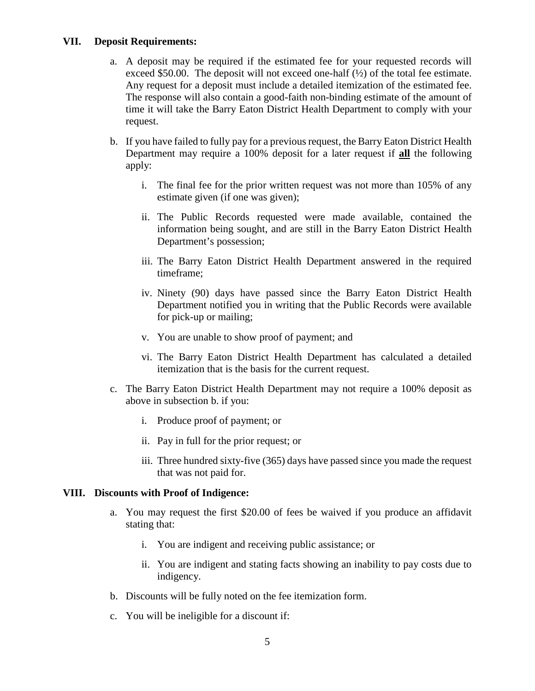#### **VII. Deposit Requirements:**

- a. A deposit may be required if the estimated fee for your requested records will exceed \$50.00. The deposit will not exceed one-half  $(\frac{1}{2})$  of the total fee estimate. Any request for a deposit must include a detailed itemization of the estimated fee. The response will also contain a good-faith non-binding estimate of the amount of time it will take the Barry Eaton District Health Department to comply with your request.
- b. If you have failed to fully pay for a previous request, the Barry Eaton District Health Department may require a 100% deposit for a later request if **all** the following apply:
	- i. The final fee for the prior written request was not more than 105% of any estimate given (if one was given);
	- ii. The Public Records requested were made available, contained the information being sought, and are still in the Barry Eaton District Health Department's possession;
	- iii. The Barry Eaton District Health Department answered in the required timeframe;
	- iv. Ninety (90) days have passed since the Barry Eaton District Health Department notified you in writing that the Public Records were available for pick-up or mailing;
	- v. You are unable to show proof of payment; and
	- vi. The Barry Eaton District Health Department has calculated a detailed itemization that is the basis for the current request.
- c. The Barry Eaton District Health Department may not require a 100% deposit as above in subsection b. if you:
	- i. Produce proof of payment; or
	- ii. Pay in full for the prior request; or
	- iii. Three hundred sixty-five (365) days have passed since you made the request that was not paid for.

#### **VIII. Discounts with Proof of Indigence:**

- a. You may request the first \$20.00 of fees be waived if you produce an affidavit stating that:
	- i. You are indigent and receiving public assistance; or
	- ii. You are indigent and stating facts showing an inability to pay costs due to indigency.
- b. Discounts will be fully noted on the fee itemization form.
- c. You will be ineligible for a discount if: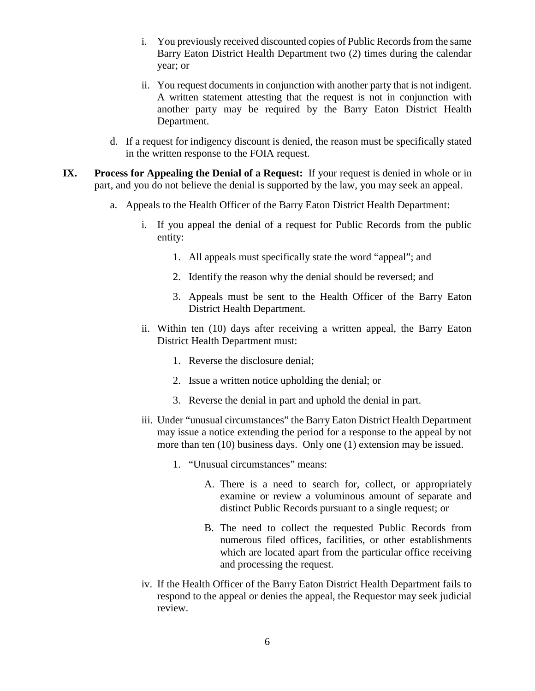- i. You previously received discounted copies of Public Records from the same Barry Eaton District Health Department two (2) times during the calendar year; or
- ii. You request documents in conjunction with another party that is not indigent. A written statement attesting that the request is not in conjunction with another party may be required by the Barry Eaton District Health Department.
- d. If a request for indigency discount is denied, the reason must be specifically stated in the written response to the FOIA request.
- **IX. Process for Appealing the Denial of a Request:** If your request is denied in whole or in part, and you do not believe the denial is supported by the law, you may seek an appeal.
	- a. Appeals to the Health Officer of the Barry Eaton District Health Department:
		- i. If you appeal the denial of a request for Public Records from the public entity:
			- 1. All appeals must specifically state the word "appeal"; and
			- 2. Identify the reason why the denial should be reversed; and
			- 3. Appeals must be sent to the Health Officer of the Barry Eaton District Health Department.
		- ii. Within ten (10) days after receiving a written appeal, the Barry Eaton District Health Department must:
			- 1. Reverse the disclosure denial;
			- 2. Issue a written notice upholding the denial; or
			- 3. Reverse the denial in part and uphold the denial in part.
		- iii. Under "unusual circumstances" the Barry Eaton District Health Department may issue a notice extending the period for a response to the appeal by not more than ten (10) business days. Only one (1) extension may be issued.
			- 1. "Unusual circumstances" means:
				- A. There is a need to search for, collect, or appropriately examine or review a voluminous amount of separate and distinct Public Records pursuant to a single request; or
				- B. The need to collect the requested Public Records from numerous filed offices, facilities, or other establishments which are located apart from the particular office receiving and processing the request.
		- iv. If the Health Officer of the Barry Eaton District Health Department fails to respond to the appeal or denies the appeal, the Requestor may seek judicial review.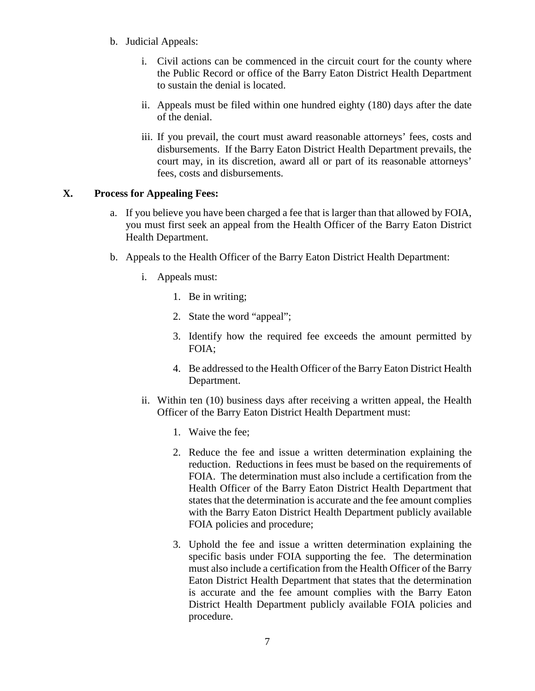- b. Judicial Appeals:
	- i. Civil actions can be commenced in the circuit court for the county where the Public Record or office of the Barry Eaton District Health Department to sustain the denial is located.
	- ii. Appeals must be filed within one hundred eighty (180) days after the date of the denial.
	- iii. If you prevail, the court must award reasonable attorneys' fees, costs and disbursements. If the Barry Eaton District Health Department prevails, the court may, in its discretion, award all or part of its reasonable attorneys' fees, costs and disbursements.

## **X. Process for Appealing Fees:**

- a. If you believe you have been charged a fee that is larger than that allowed by FOIA, you must first seek an appeal from the Health Officer of the Barry Eaton District Health Department.
- b. Appeals to the Health Officer of the Barry Eaton District Health Department:
	- i. Appeals must:
		- 1. Be in writing;
		- 2. State the word "appeal";
		- 3. Identify how the required fee exceeds the amount permitted by FOIA;
		- 4. Be addressed to the Health Officer of the Barry Eaton District Health Department.
	- ii. Within ten (10) business days after receiving a written appeal, the Health Officer of the Barry Eaton District Health Department must:
		- 1. Waive the fee;
		- 2. Reduce the fee and issue a written determination explaining the reduction. Reductions in fees must be based on the requirements of FOIA. The determination must also include a certification from the Health Officer of the Barry Eaton District Health Department that states that the determination is accurate and the fee amount complies with the Barry Eaton District Health Department publicly available FOIA policies and procedure;
		- 3. Uphold the fee and issue a written determination explaining the specific basis under FOIA supporting the fee. The determination must also include a certification from the Health Officer of the Barry Eaton District Health Department that states that the determination is accurate and the fee amount complies with the Barry Eaton District Health Department publicly available FOIA policies and procedure.